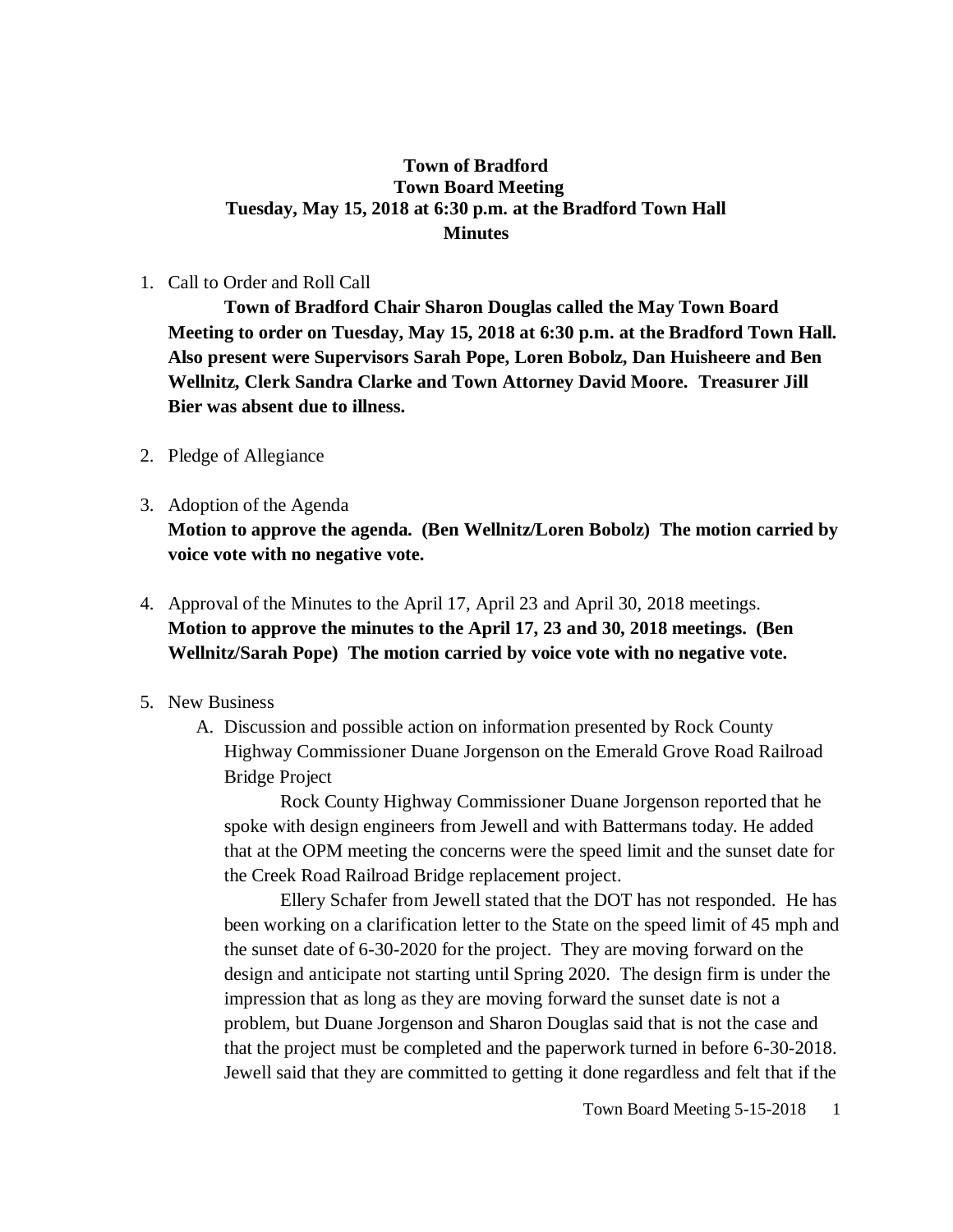## **Town of Bradford Town Board Meeting Tuesday, May 15, 2018 at 6:30 p.m. at the Bradford Town Hall Minutes**

### 1. Call to Order and Roll Call

**Town of Bradford Chair Sharon Douglas called the May Town Board Meeting to order on Tuesday, May 15, 2018 at 6:30 p.m. at the Bradford Town Hall. Also present were Supervisors Sarah Pope, Loren Bobolz, Dan Huisheere and Ben Wellnitz, Clerk Sandra Clarke and Town Attorney David Moore. Treasurer Jill Bier was absent due to illness.**

- 2. Pledge of Allegiance
- 3. Adoption of the Agenda

**Motion to approve the agenda. (Ben Wellnitz/Loren Bobolz) The motion carried by voice vote with no negative vote.**

- 4. Approval of the Minutes to the April 17, April 23 and April 30, 2018 meetings. **Motion to approve the minutes to the April 17, 23 and 30, 2018 meetings. (Ben Wellnitz/Sarah Pope) The motion carried by voice vote with no negative vote.**
- 5. New Business
	- A. Discussion and possible action on information presented by Rock County Highway Commissioner Duane Jorgenson on the Emerald Grove Road Railroad Bridge Project

Rock County Highway Commissioner Duane Jorgenson reported that he spoke with design engineers from Jewell and with Battermans today. He added that at the OPM meeting the concerns were the speed limit and the sunset date for the Creek Road Railroad Bridge replacement project.

Ellery Schafer from Jewell stated that the DOT has not responded. He has been working on a clarification letter to the State on the speed limit of 45 mph and the sunset date of 6-30-2020 for the project. They are moving forward on the design and anticipate not starting until Spring 2020. The design firm is under the impression that as long as they are moving forward the sunset date is not a problem, but Duane Jorgenson and Sharon Douglas said that is not the case and that the project must be completed and the paperwork turned in before 6-30-2018. Jewell said that they are committed to getting it done regardless and felt that if the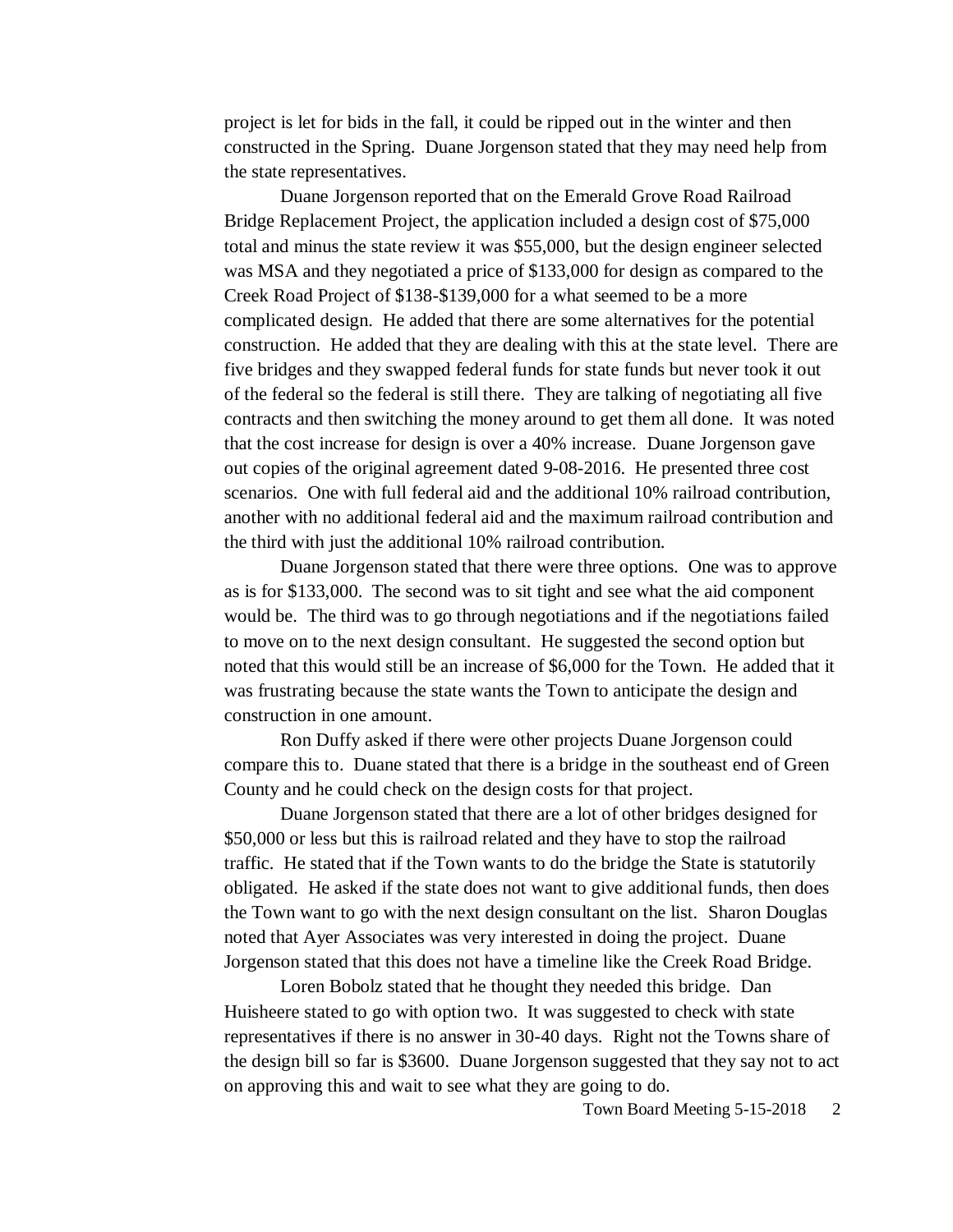project is let for bids in the fall, it could be ripped out in the winter and then constructed in the Spring. Duane Jorgenson stated that they may need help from the state representatives.

Duane Jorgenson reported that on the Emerald Grove Road Railroad Bridge Replacement Project, the application included a design cost of \$75,000 total and minus the state review it was \$55,000, but the design engineer selected was MSA and they negotiated a price of \$133,000 for design as compared to the Creek Road Project of \$138-\$139,000 for a what seemed to be a more complicated design. He added that there are some alternatives for the potential construction. He added that they are dealing with this at the state level. There are five bridges and they swapped federal funds for state funds but never took it out of the federal so the federal is still there. They are talking of negotiating all five contracts and then switching the money around to get them all done. It was noted that the cost increase for design is over a 40% increase. Duane Jorgenson gave out copies of the original agreement dated 9-08-2016. He presented three cost scenarios. One with full federal aid and the additional 10% railroad contribution, another with no additional federal aid and the maximum railroad contribution and the third with just the additional 10% railroad contribution.

Duane Jorgenson stated that there were three options. One was to approve as is for \$133,000. The second was to sit tight and see what the aid component would be. The third was to go through negotiations and if the negotiations failed to move on to the next design consultant. He suggested the second option but noted that this would still be an increase of \$6,000 for the Town. He added that it was frustrating because the state wants the Town to anticipate the design and construction in one amount.

Ron Duffy asked if there were other projects Duane Jorgenson could compare this to. Duane stated that there is a bridge in the southeast end of Green County and he could check on the design costs for that project.

Duane Jorgenson stated that there are a lot of other bridges designed for \$50,000 or less but this is railroad related and they have to stop the railroad traffic. He stated that if the Town wants to do the bridge the State is statutorily obligated. He asked if the state does not want to give additional funds, then does the Town want to go with the next design consultant on the list. Sharon Douglas noted that Ayer Associates was very interested in doing the project. Duane Jorgenson stated that this does not have a timeline like the Creek Road Bridge.

Loren Bobolz stated that he thought they needed this bridge. Dan Huisheere stated to go with option two. It was suggested to check with state representatives if there is no answer in 30-40 days. Right not the Towns share of the design bill so far is \$3600. Duane Jorgenson suggested that they say not to act on approving this and wait to see what they are going to do.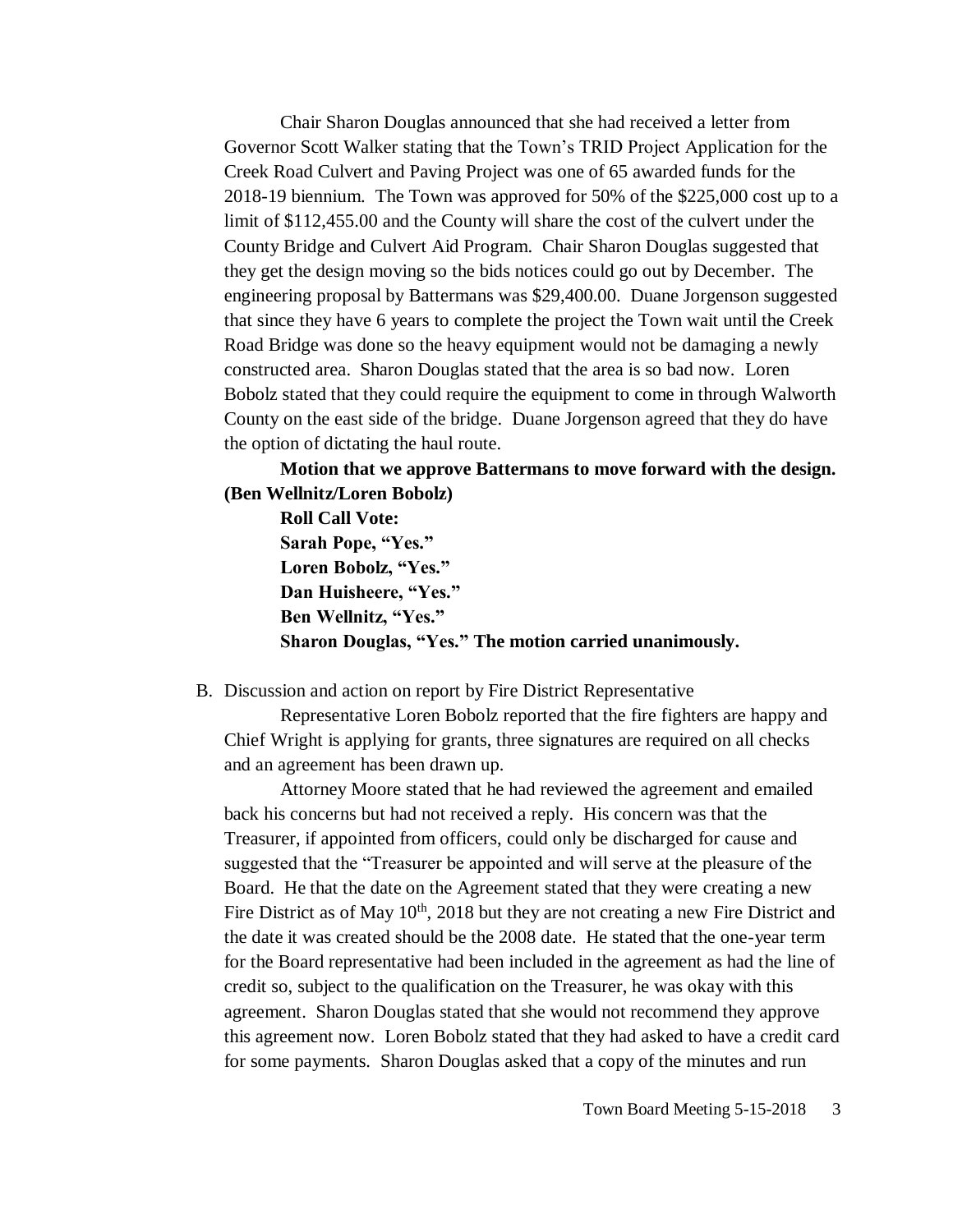Chair Sharon Douglas announced that she had received a letter from Governor Scott Walker stating that the Town's TRID Project Application for the Creek Road Culvert and Paving Project was one of 65 awarded funds for the 2018-19 biennium. The Town was approved for 50% of the \$225,000 cost up to a limit of \$112,455.00 and the County will share the cost of the culvert under the County Bridge and Culvert Aid Program. Chair Sharon Douglas suggested that they get the design moving so the bids notices could go out by December. The engineering proposal by Battermans was \$29,400.00. Duane Jorgenson suggested that since they have 6 years to complete the project the Town wait until the Creek Road Bridge was done so the heavy equipment would not be damaging a newly constructed area. Sharon Douglas stated that the area is so bad now. Loren Bobolz stated that they could require the equipment to come in through Walworth County on the east side of the bridge. Duane Jorgenson agreed that they do have the option of dictating the haul route.

**Motion that we approve Battermans to move forward with the design. (Ben Wellnitz/Loren Bobolz)**

**Roll Call Vote: Sarah Pope, "Yes." Loren Bobolz, "Yes." Dan Huisheere, "Yes." Ben Wellnitz, "Yes." Sharon Douglas, "Yes." The motion carried unanimously.**

#### B. Discussion and action on report by Fire District Representative

Representative Loren Bobolz reported that the fire fighters are happy and Chief Wright is applying for grants, three signatures are required on all checks and an agreement has been drawn up.

Attorney Moore stated that he had reviewed the agreement and emailed back his concerns but had not received a reply. His concern was that the Treasurer, if appointed from officers, could only be discharged for cause and suggested that the "Treasurer be appointed and will serve at the pleasure of the Board. He that the date on the Agreement stated that they were creating a new Fire District as of May  $10<sup>th</sup>$ , 2018 but they are not creating a new Fire District and the date it was created should be the 2008 date. He stated that the one-year term for the Board representative had been included in the agreement as had the line of credit so, subject to the qualification on the Treasurer, he was okay with this agreement. Sharon Douglas stated that she would not recommend they approve this agreement now. Loren Bobolz stated that they had asked to have a credit card for some payments. Sharon Douglas asked that a copy of the minutes and run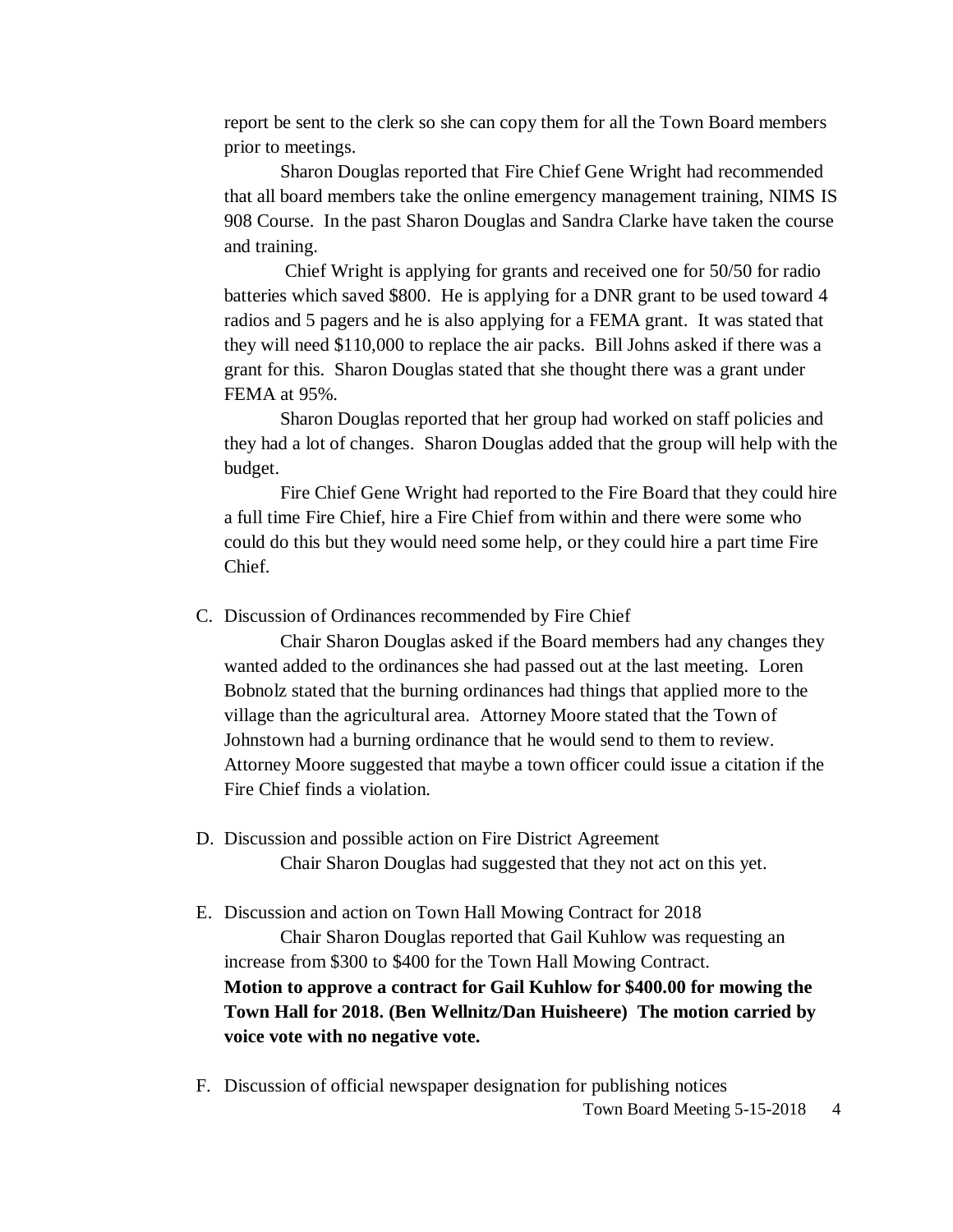report be sent to the clerk so she can copy them for all the Town Board members prior to meetings.

Sharon Douglas reported that Fire Chief Gene Wright had recommended that all board members take the online emergency management training, NIMS IS 908 Course. In the past Sharon Douglas and Sandra Clarke have taken the course and training.

Chief Wright is applying for grants and received one for 50/50 for radio batteries which saved \$800. He is applying for a DNR grant to be used toward 4 radios and 5 pagers and he is also applying for a FEMA grant. It was stated that they will need \$110,000 to replace the air packs. Bill Johns asked if there was a grant for this. Sharon Douglas stated that she thought there was a grant under FEMA at 95%.

Sharon Douglas reported that her group had worked on staff policies and they had a lot of changes. Sharon Douglas added that the group will help with the budget.

Fire Chief Gene Wright had reported to the Fire Board that they could hire a full time Fire Chief, hire a Fire Chief from within and there were some who could do this but they would need some help, or they could hire a part time Fire Chief.

C. Discussion of Ordinances recommended by Fire Chief

Chair Sharon Douglas asked if the Board members had any changes they wanted added to the ordinances she had passed out at the last meeting. Loren Bobnolz stated that the burning ordinances had things that applied more to the village than the agricultural area. Attorney Moore stated that the Town of Johnstown had a burning ordinance that he would send to them to review. Attorney Moore suggested that maybe a town officer could issue a citation if the Fire Chief finds a violation.

D. Discussion and possible action on Fire District Agreement Chair Sharon Douglas had suggested that they not act on this yet.

E. Discussion and action on Town Hall Mowing Contract for 2018 Chair Sharon Douglas reported that Gail Kuhlow was requesting an increase from \$300 to \$400 for the Town Hall Mowing Contract. **Motion to approve a contract for Gail Kuhlow for \$400.00 for mowing the Town Hall for 2018. (Ben Wellnitz/Dan Huisheere) The motion carried by voice vote with no negative vote.**

Town Board Meeting 5-15-2018 4 F. Discussion of official newspaper designation for publishing notices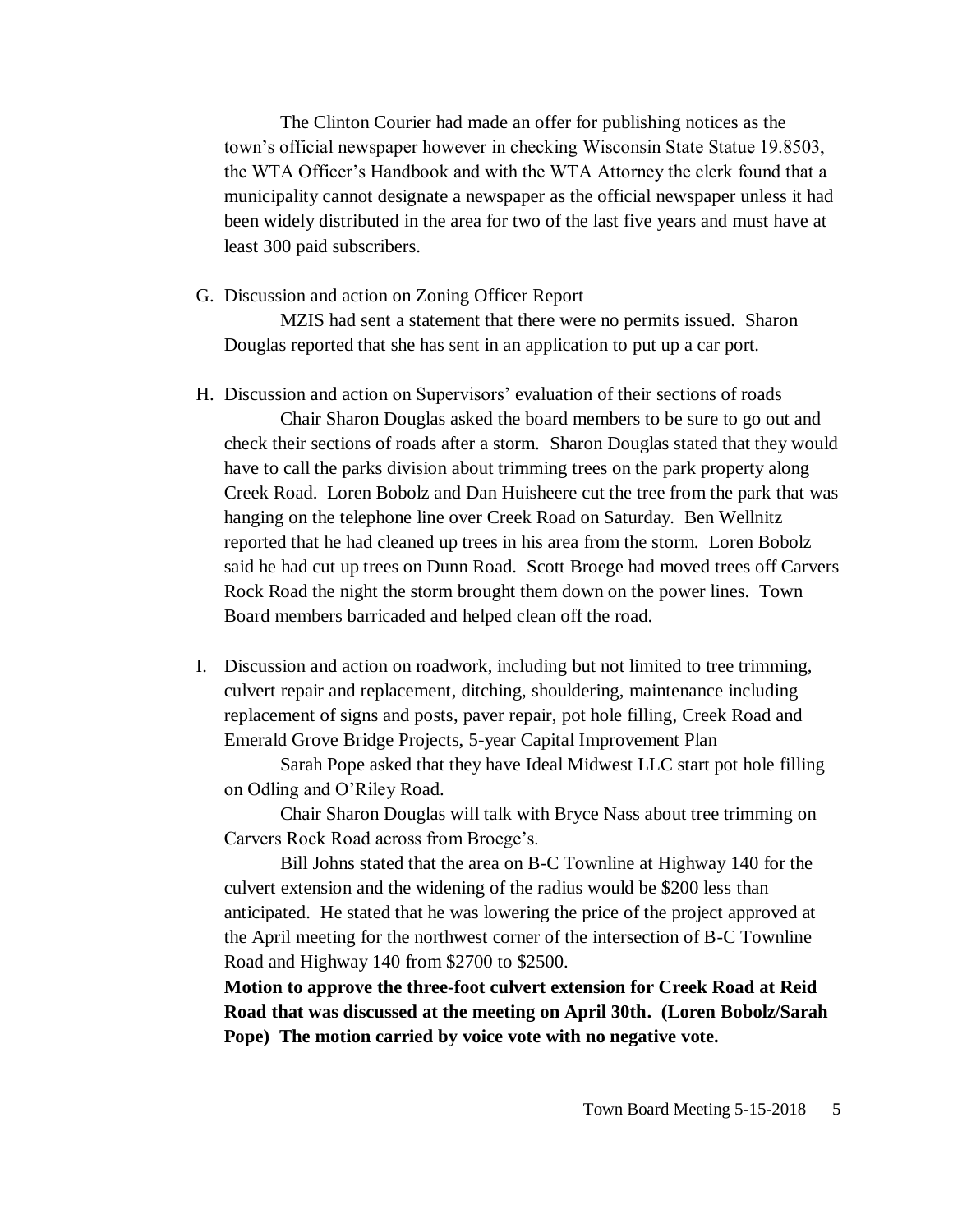The Clinton Courier had made an offer for publishing notices as the town's official newspaper however in checking Wisconsin State Statue 19.8503, the WTA Officer's Handbook and with the WTA Attorney the clerk found that a municipality cannot designate a newspaper as the official newspaper unless it had been widely distributed in the area for two of the last five years and must have at least 300 paid subscribers.

G. Discussion and action on Zoning Officer Report

MZIS had sent a statement that there were no permits issued. Sharon Douglas reported that she has sent in an application to put up a car port.

H. Discussion and action on Supervisors' evaluation of their sections of roads

Chair Sharon Douglas asked the board members to be sure to go out and check their sections of roads after a storm. Sharon Douglas stated that they would have to call the parks division about trimming trees on the park property along Creek Road. Loren Bobolz and Dan Huisheere cut the tree from the park that was hanging on the telephone line over Creek Road on Saturday. Ben Wellnitz reported that he had cleaned up trees in his area from the storm. Loren Bobolz said he had cut up trees on Dunn Road. Scott Broege had moved trees off Carvers Rock Road the night the storm brought them down on the power lines. Town Board members barricaded and helped clean off the road.

I. Discussion and action on roadwork, including but not limited to tree trimming, culvert repair and replacement, ditching, shouldering, maintenance including replacement of signs and posts, paver repair, pot hole filling, Creek Road and Emerald Grove Bridge Projects, 5-year Capital Improvement Plan

Sarah Pope asked that they have Ideal Midwest LLC start pot hole filling on Odling and O'Riley Road.

Chair Sharon Douglas will talk with Bryce Nass about tree trimming on Carvers Rock Road across from Broege's.

Bill Johns stated that the area on B-C Townline at Highway 140 for the culvert extension and the widening of the radius would be \$200 less than anticipated. He stated that he was lowering the price of the project approved at the April meeting for the northwest corner of the intersection of B-C Townline Road and Highway 140 from \$2700 to \$2500.

**Motion to approve the three-foot culvert extension for Creek Road at Reid Road that was discussed at the meeting on April 30th. (Loren Bobolz/Sarah Pope) The motion carried by voice vote with no negative vote.**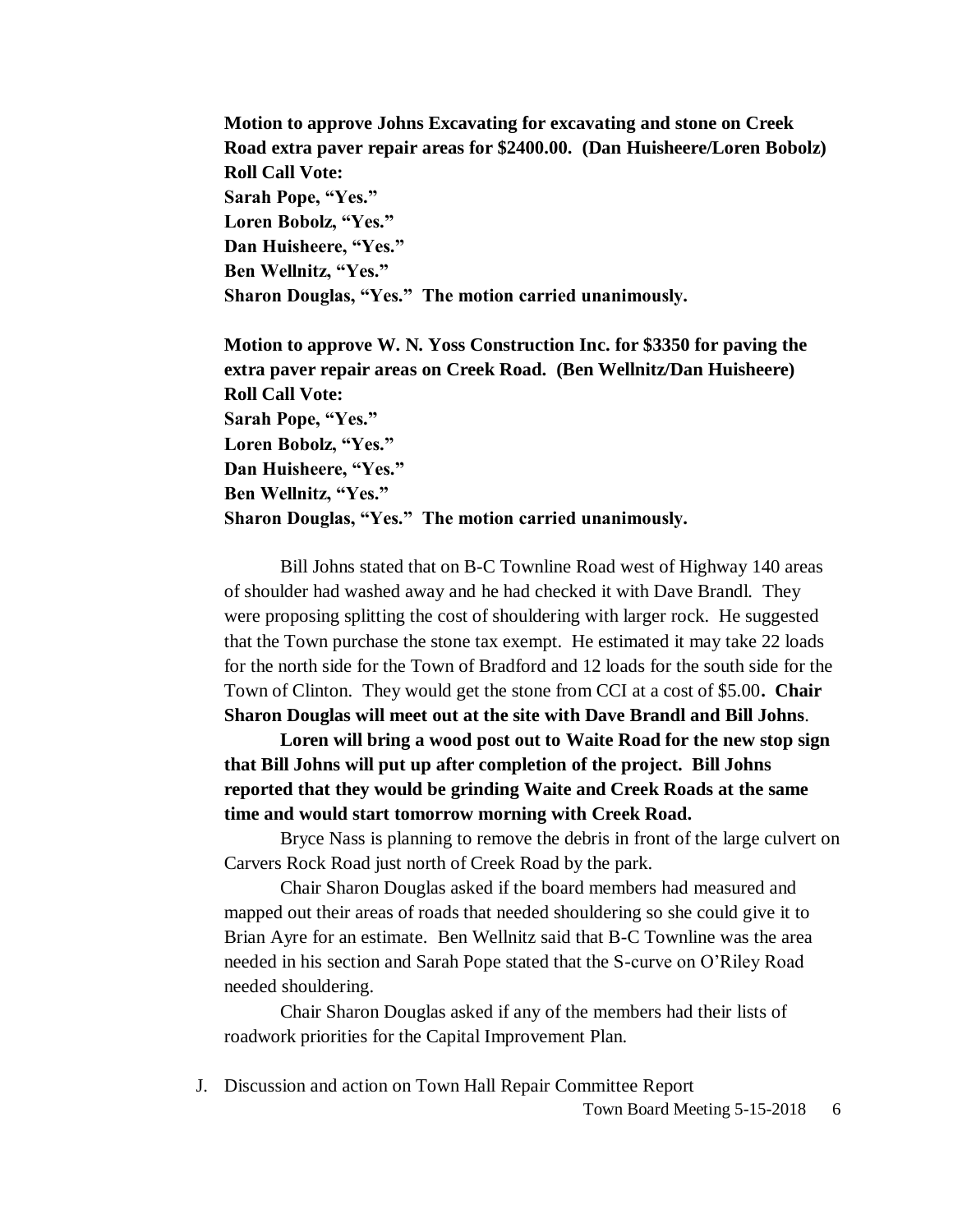**Motion to approve Johns Excavating for excavating and stone on Creek Road extra paver repair areas for \$2400.00. (Dan Huisheere/Loren Bobolz) Roll Call Vote: Sarah Pope, "Yes." Loren Bobolz, "Yes." Dan Huisheere, "Yes." Ben Wellnitz, "Yes." Sharon Douglas, "Yes." The motion carried unanimously.**

**Motion to approve W. N. Yoss Construction Inc. for \$3350 for paving the extra paver repair areas on Creek Road. (Ben Wellnitz/Dan Huisheere) Roll Call Vote: Sarah Pope, "Yes." Loren Bobolz, "Yes." Dan Huisheere, "Yes." Ben Wellnitz, "Yes." Sharon Douglas, "Yes." The motion carried unanimously.**

Bill Johns stated that on B-C Townline Road west of Highway 140 areas of shoulder had washed away and he had checked it with Dave Brandl. They were proposing splitting the cost of shouldering with larger rock. He suggested that the Town purchase the stone tax exempt. He estimated it may take 22 loads for the north side for the Town of Bradford and 12 loads for the south side for the Town of Clinton. They would get the stone from CCI at a cost of \$5.00**. Chair Sharon Douglas will meet out at the site with Dave Brandl and Bill Johns**.

**Loren will bring a wood post out to Waite Road for the new stop sign that Bill Johns will put up after completion of the project. Bill Johns reported that they would be grinding Waite and Creek Roads at the same time and would start tomorrow morning with Creek Road.**

Bryce Nass is planning to remove the debris in front of the large culvert on Carvers Rock Road just north of Creek Road by the park.

Chair Sharon Douglas asked if the board members had measured and mapped out their areas of roads that needed shouldering so she could give it to Brian Ayre for an estimate. Ben Wellnitz said that B-C Townline was the area needed in his section and Sarah Pope stated that the S-curve on O'Riley Road needed shouldering.

Chair Sharon Douglas asked if any of the members had their lists of roadwork priorities for the Capital Improvement Plan.

J. Discussion and action on Town Hall Repair Committee Report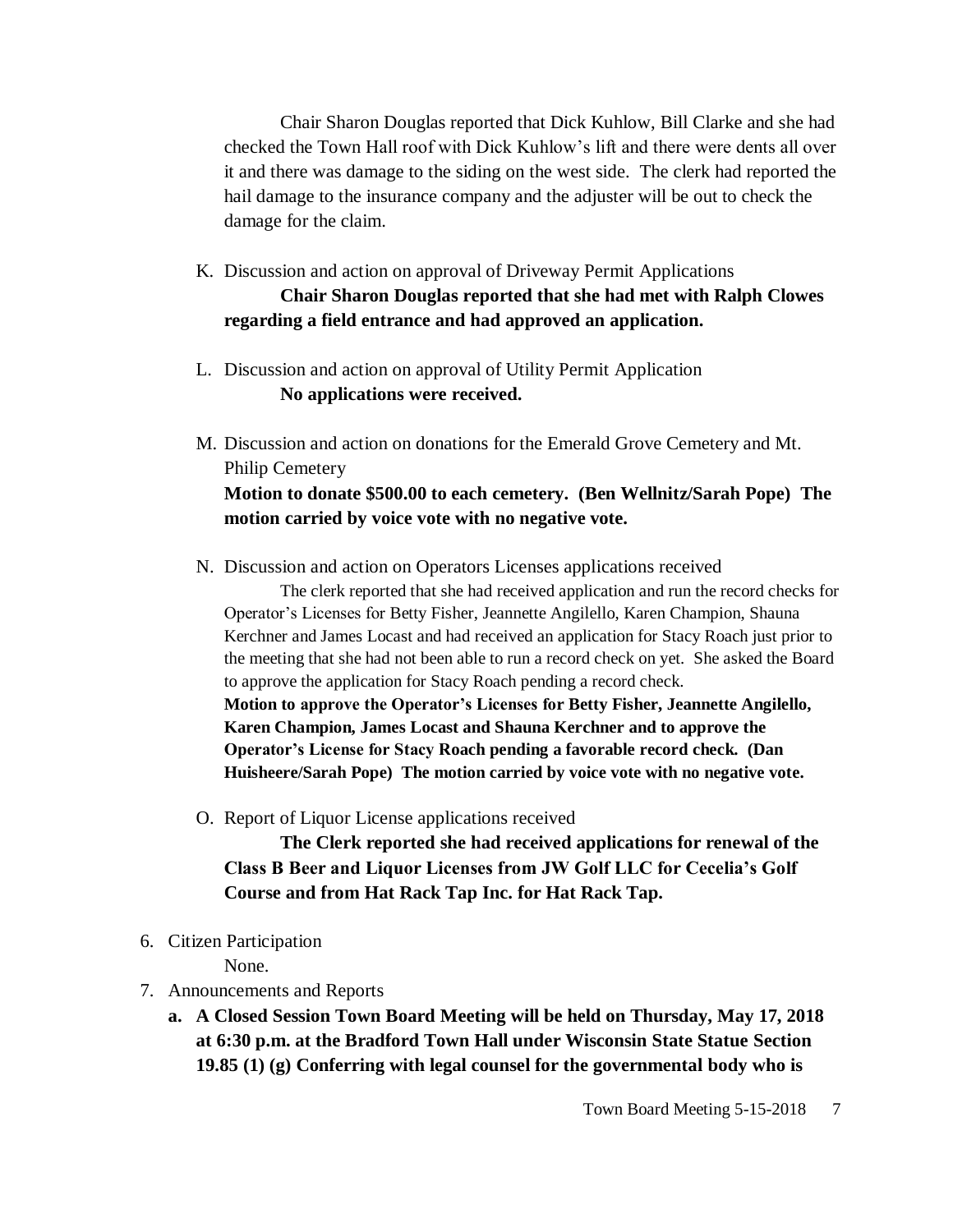Chair Sharon Douglas reported that Dick Kuhlow, Bill Clarke and she had checked the Town Hall roof with Dick Kuhlow's lift and there were dents all over it and there was damage to the siding on the west side. The clerk had reported the hail damage to the insurance company and the adjuster will be out to check the damage for the claim.

# K. Discussion and action on approval of Driveway Permit Applications **Chair Sharon Douglas reported that she had met with Ralph Clowes regarding a field entrance and had approved an application.**

- L. Discussion and action on approval of Utility Permit Application **No applications were received.**
- M. Discussion and action on donations for the Emerald Grove Cemetery and Mt. Philip Cemetery **Motion to donate \$500.00 to each cemetery. (Ben Wellnitz/Sarah Pope) The motion carried by voice vote with no negative vote.**
- N. Discussion and action on Operators Licenses applications received

The clerk reported that she had received application and run the record checks for Operator's Licenses for Betty Fisher, Jeannette Angilello, Karen Champion, Shauna Kerchner and James Locast and had received an application for Stacy Roach just prior to the meeting that she had not been able to run a record check on yet. She asked the Board to approve the application for Stacy Roach pending a record check.

**Motion to approve the Operator's Licenses for Betty Fisher, Jeannette Angilello, Karen Champion, James Locast and Shauna Kerchner and to approve the Operator's License for Stacy Roach pending a favorable record check. (Dan Huisheere/Sarah Pope) The motion carried by voice vote with no negative vote.** 

O. Report of Liquor License applications received

**The Clerk reported she had received applications for renewal of the Class B Beer and Liquor Licenses from JW Golf LLC for Cecelia's Golf Course and from Hat Rack Tap Inc. for Hat Rack Tap.**

6. Citizen Participation

None.

- 7. Announcements and Reports
	- **a. A Closed Session Town Board Meeting will be held on Thursday, May 17, 2018 at 6:30 p.m. at the Bradford Town Hall under Wisconsin State Statue Section 19.85 (1) (g) Conferring with legal counsel for the governmental body who is**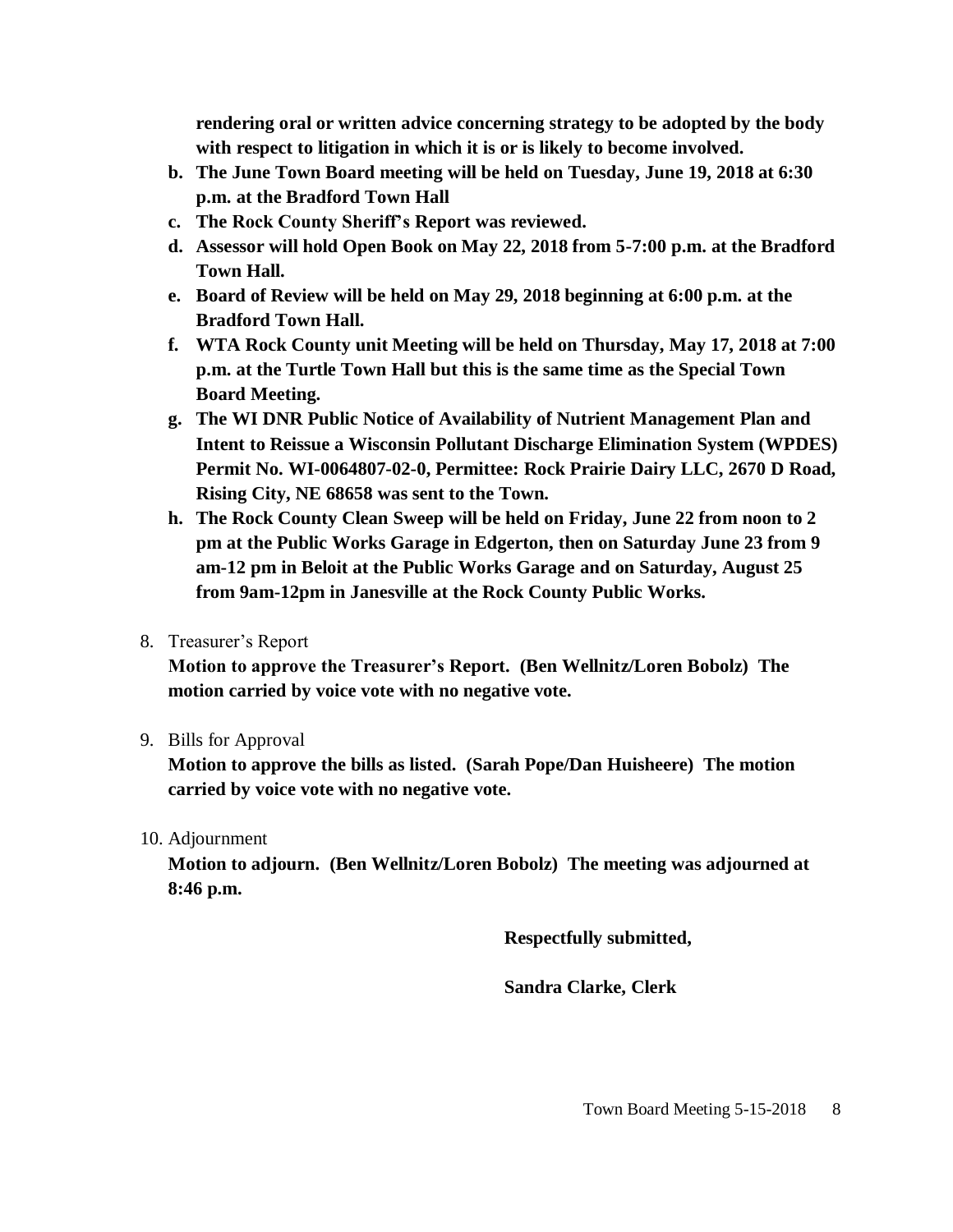**rendering oral or written advice concerning strategy to be adopted by the body with respect to litigation in which it is or is likely to become involved.**

- **b. The June Town Board meeting will be held on Tuesday, June 19, 2018 at 6:30 p.m. at the Bradford Town Hall**
- **c. The Rock County Sheriff's Report was reviewed.**
- **d. Assessor will hold Open Book on May 22, 2018 from 5-7:00 p.m. at the Bradford Town Hall.**
- **e. Board of Review will be held on May 29, 2018 beginning at 6:00 p.m. at the Bradford Town Hall.**
- **f. WTA Rock County unit Meeting will be held on Thursday, May 17, 2018 at 7:00 p.m. at the Turtle Town Hall but this is the same time as the Special Town Board Meeting.**
- **g. The WI DNR Public Notice of Availability of Nutrient Management Plan and Intent to Reissue a Wisconsin Pollutant Discharge Elimination System (WPDES) Permit No. WI-0064807-02-0, Permittee: Rock Prairie Dairy LLC, 2670 D Road, Rising City, NE 68658 was sent to the Town.**
- **h. The Rock County Clean Sweep will be held on Friday, June 22 from noon to 2 pm at the Public Works Garage in Edgerton, then on Saturday June 23 from 9 am-12 pm in Beloit at the Public Works Garage and on Saturday, August 25 from 9am-12pm in Janesville at the Rock County Public Works.**
- 8. Treasurer's Report

**Motion to approve the Treasurer's Report. (Ben Wellnitz/Loren Bobolz) The motion carried by voice vote with no negative vote.**

## 9. Bills for Approval

**Motion to approve the bills as listed. (Sarah Pope/Dan Huisheere) The motion carried by voice vote with no negative vote.**

## 10. Adjournment

**Motion to adjourn. (Ben Wellnitz/Loren Bobolz) The meeting was adjourned at 8:46 p.m.**

**Respectfully submitted,**

**Sandra Clarke, Clerk**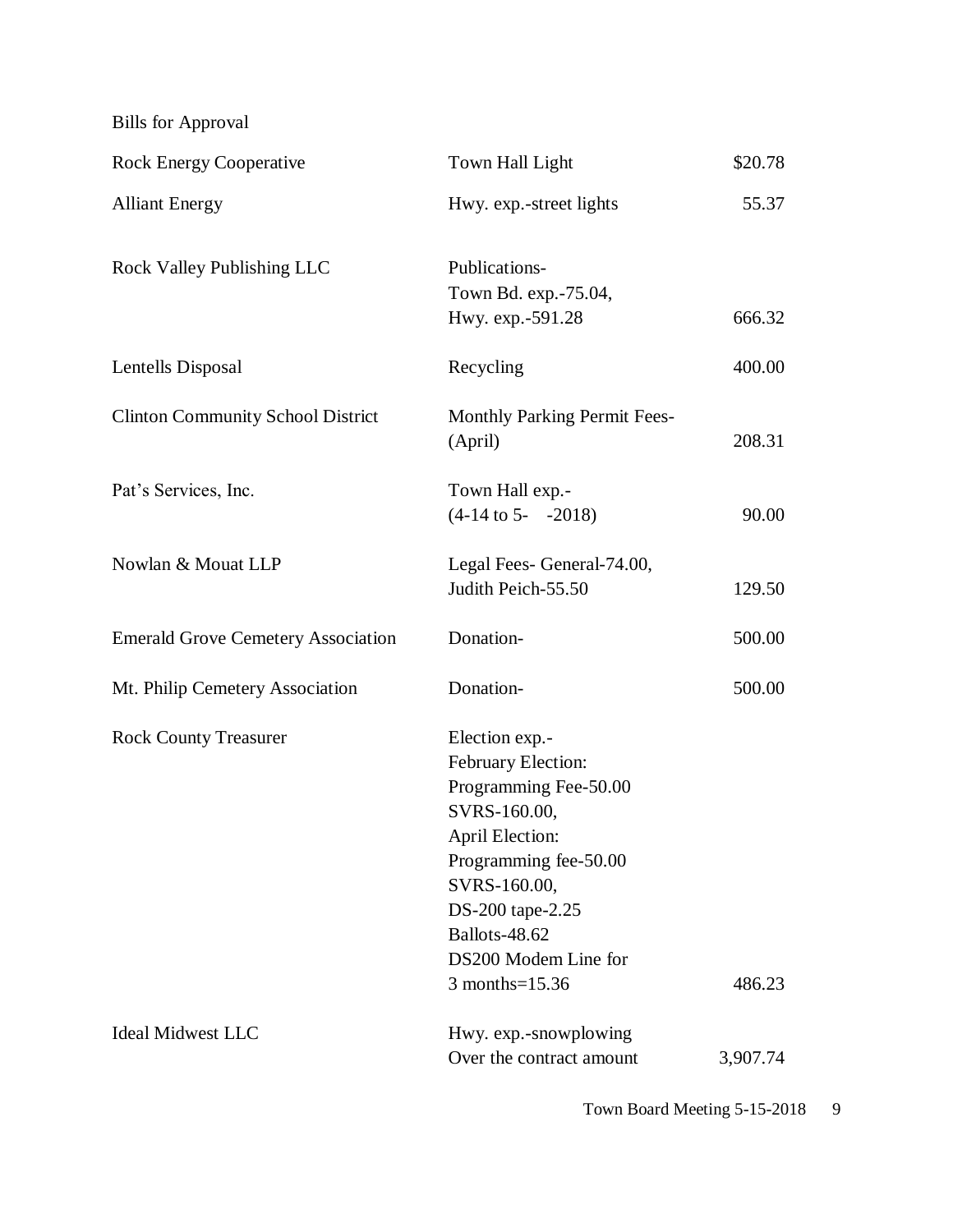Bills for Approval

| <b>Rock Energy Cooperative</b>            | Town Hall Light                                                                                                                                                                                                                 | \$20.78  |
|-------------------------------------------|---------------------------------------------------------------------------------------------------------------------------------------------------------------------------------------------------------------------------------|----------|
| <b>Alliant Energy</b>                     | Hwy. exp.-street lights                                                                                                                                                                                                         | 55.37    |
| <b>Rock Valley Publishing LLC</b>         | Publications-<br>Town Bd. exp.-75.04,<br>Hwy. exp.-591.28                                                                                                                                                                       | 666.32   |
| Lentells Disposal                         | Recycling                                                                                                                                                                                                                       | 400.00   |
| <b>Clinton Community School District</b>  | <b>Monthly Parking Permit Fees-</b><br>(April)                                                                                                                                                                                  | 208.31   |
| Pat's Services, Inc.                      | Town Hall exp.-<br>$(4-14 \text{ to } 5 -2018)$                                                                                                                                                                                 | 90.00    |
| Nowlan & Mouat LLP                        | Legal Fees- General-74.00,<br>Judith Peich-55.50                                                                                                                                                                                | 129.50   |
| <b>Emerald Grove Cemetery Association</b> | Donation-                                                                                                                                                                                                                       | 500.00   |
| Mt. Philip Cemetery Association           | Donation-                                                                                                                                                                                                                       | 500.00   |
| <b>Rock County Treasurer</b>              | Election exp.-<br>February Election:<br>Programming Fee-50.00<br>SVRS-160.00,<br><b>April Election:</b><br>Programming fee-50.00<br>SVRS-160.00,<br>DS-200 tape-2.25<br>Ballots-48.62<br>DS200 Modem Line for<br>3 months=15.36 | 486.23   |
| <b>Ideal Midwest LLC</b>                  | Hwy. exp.-snowplowing<br>Over the contract amount                                                                                                                                                                               | 3,907.74 |